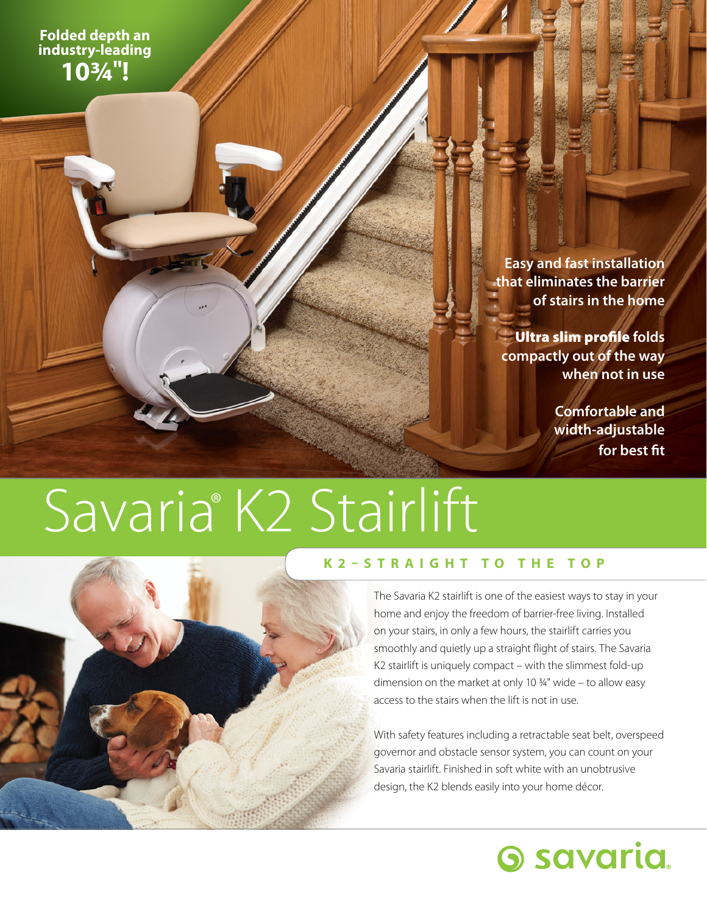**Folded depth an industry-leading 103/4"!**

> **Easy and fast installation that eliminates the barrier of stairs in the home**

Ultra slim profile **folds compactly out of the way when not in use**

> **Comfortable and width-adjustable for best fit**

# Savaria® K2 Stairlift



### **K2–STRAIGHT TO THE TOP**

The Savaria K2 stairlift is one of the easiest ways to stay in your home and enjoy the freedom of barrier-free living. Installed on your stairs, in only a few hours, the stairlift carries you smoothly and quietly up a straight flight of stairs. The Savaria K2 stairlift is uniquely compact – with the slimmest fold-up dimension on the market at only 10  $\frac{3}{4}$ " wide – to allow easy access to the stairs when the lift is not in use.

With safety features including a retractable seat belt, overspeed governor and obstacle sensor system, you can count on your Savaria stairlift. Finished in soft white with an unobtrusive design, the K2 blends easily into your home décor.

### **Savaria**